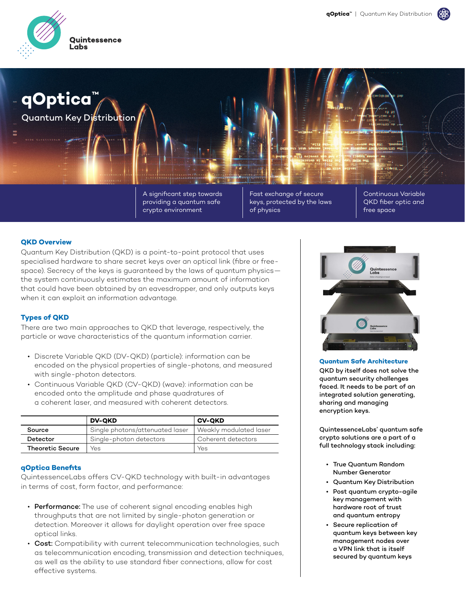

**qOptica™** Quantum Key Distribution

> A significant step towards providing a quantum safe crypto environment

Fast exchange of secure keys, protected by the laws of physics

Continuous Variable QKD fiber optic and free space

## **QKD Overview**

Quantum Key Distribution (QKD) is a point-to-point protocol that uses specialised hardware to share secret keys over an optical link (fibre or freespace). Secrecy of the keys is guaranteed by the laws of quantum physics the system continuously estimates the maximum amount of information that could have been obtained by an eavesdropper, and only outputs keys when it can exploit an information advantage.

## **Types of QKD**

There are two main approaches to QKD that leverage, respectively, the particle or wave characteristics of the quantum information carrier.

- Discrete Variable QKD (DV-QKD) (particle): information can be encoded on the physical properties of single-photons, and measured with single-photon detectors.
- Continuous Variable QKD (CV-QKD) (wave): information can be encoded onto the amplitude and phase quadratures of a coherent laser, and measured with coherent detectors.

|                         | <b>DV-QKD</b>                   | <b>CV-QKD</b>          |
|-------------------------|---------------------------------|------------------------|
| Source                  | Single photons/attenuated laser | Weakly modulated laser |
| Detector                | Single-photon detectors         | Coherent detectors     |
| <b>Theoretic Secure</b> | Yes                             | Yes                    |

## **qOptica Benefits**

QuintessenceLabs offers CV-QKD technology with built-in advantages in terms of cost, form factor, and performance:

- Performance: The use of coherent signal encoding enables high throughputs that are not limited by single-photon generation or detection. Moreover it allows for daylight operation over free space optical links.
- Cost: Compatibility with current telecommunication technologies, such as telecommunication encoding, transmission and detection techniques, as well as the ability to use standard fiber connections, allow for cost effective systems.



**Quantum Safe Architecture**

QKD by itself does not solve the quantum security challenges faced. It needs to be part of an integrated solution generating, sharing and managing encryption keys.

QuintessenceLabs' quantum safe crypto solutions are a part of a full technology stack including:

- True Quantum Random Number Generator
- Quantum Key Distribution
- Post quantum crypto-agile key management with hardware root of trust and quantum entropy
- Secure replication of quantum keys between key management nodes over a VPN link that is itself secured by quantum keys